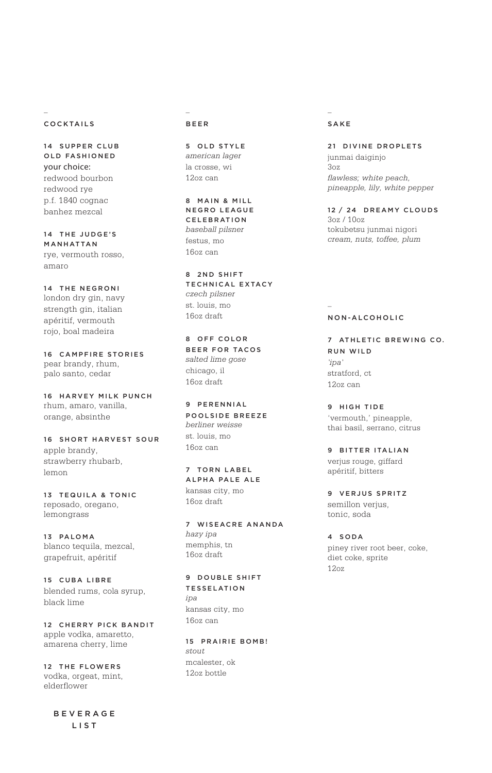## COCKTAILS

*–*

14 SUPPER CLUB OLD FASHIONED your choice: redwood bourbon redwood rye p.f. 1840 cognac banhez mezcal

14 THE JUDGE'S MANHATTAN rye, vermouth rosso, amaro

14 THE NEGRONI london dry gin, navy strength gin, italian apéritif, vermouth rojo, boal madeira

16 CAMPFIRE STORIES pear brandy, rhum, palo santo, cedar

16 HARVEY MILK PUNCH rhum, amaro, vanilla, orange, absinthe

16 SHORT HARVEST SOUR apple brandy, strawberry rhubarb, lemon

13 TEQUILA & TONIC reposado, oregano, lemongrass

13 PALOMA blanco tequila, mezcal, grapefruit, apéritif

15 CUBA LIBRE blended rums, cola syrup, black lime

12 CHERRY PICK BANDIT apple vodka, amaretto, amarena cherry, lime

12 THE FLOWERS vodka, orgeat, mint, elderflower

> BEVERAGE LIST

## *–* BEER

5 OLD STYLE *american lager* la crosse, wi 12oz can

8 MAIN & MILL NEGRO LEAGUE CELEBRATION *baseball pilsner* festus, mo 16oz can

8 2 ND SHIFT TECHNICAL EXTACY *czech pilsner* st. louis, mo 16oz draft

8 OFF COLOR BEER FOR TACOS *salted lime gose* chicago, il 16oz draft

9 PERENNIAL POOLSIDE BREEZE *berliner weisse* st. louis, mo 16oz can

7 TORN LABEL ALPHA PALE ALE kansas city, mo 16oz draft

7 WISEACRE ANANDA *hazy ipa* memphis, tn 16oz draft

9 DOUBLE SHIFT TESSELATION *ipa* kansas city, mo 16oz can

15 PRAIRIE BOMB! *stout* mcalester, ok 12oz bottle

### *–* SAKE

21 DIVINE DROPLETS junmai daiginjo 3oz *flawless; white peach, pineapple, lily, white pepper*

12 / 24 DREAMY CLOUDS 3oz / 10oz tokubetsu junmai nigori *cream, nuts, toffee, plum*

## NON-ALCOHOLIC

*–*

7 ATHLETIC BREWING CO. RUN WILD *'ipa'* stratford, ct 12oz can

9 HIGH TIDE 'vermouth,' pineapple, thai basil, serrano, citrus

9 BITTER ITALIAN verjus rouge, giffard apéritif, bitters

9 VERJUS SPRITZ semillon verjus, tonic, soda

4 S O DA piney river root beer, coke, diet coke, sprite 12oz